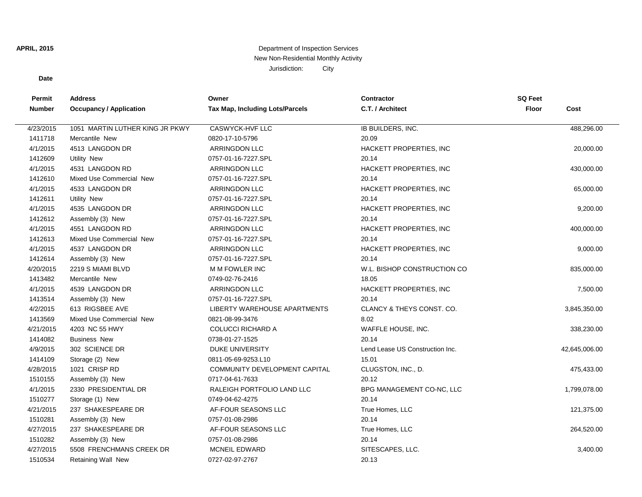# **APRIL, 2015** Department of Inspection Services New Non-Residential Monthly Activity Jurisdiction: City

### **Date**

| Permit        | <b>Address</b>                  | Owner                                  | <b>Contractor</b>               | <b>SQ Feet</b> |               |
|---------------|---------------------------------|----------------------------------------|---------------------------------|----------------|---------------|
| <b>Number</b> | <b>Occupancy / Application</b>  | <b>Tax Map, Including Lots/Parcels</b> | C.T. / Architect                | <b>Floor</b>   | Cost          |
|               |                                 |                                        |                                 |                |               |
| 4/23/2015     | 1051 MARTIN LUTHER KING JR PKWY | <b>CASWYCK-HVF LLC</b>                 | IB BUILDERS, INC.               |                | 488,296.00    |
| 1411718       | Mercantile New                  | 0820-17-10-5796                        | 20.09                           |                |               |
| 4/1/2015      | 4513 LANGDON DR                 | <b>ARRINGDON LLC</b>                   | HACKETT PROPERTIES, INC         |                | 20,000.00     |
| 1412609       | <b>Utility New</b>              | 0757-01-16-7227.SPL                    | 20.14                           |                |               |
| 4/1/2015      | 4531 LANGDON RD                 | <b>ARRINGDON LLC</b>                   | HACKETT PROPERTIES, INC         |                | 430,000.00    |
| 1412610       | Mixed Use Commercial New        | 0757-01-16-7227.SPL                    | 20.14                           |                |               |
| 4/1/2015      | 4533 LANGDON DR                 | <b>ARRINGDON LLC</b>                   | HACKETT PROPERTIES, INC         |                | 65,000.00     |
| 1412611       | <b>Utility New</b>              | 0757-01-16-7227.SPL                    | 20.14                           |                |               |
| 4/1/2015      | 4535 LANGDON DR                 | <b>ARRINGDON LLC</b>                   | HACKETT PROPERTIES, INC         |                | 9,200.00      |
| 1412612       | Assembly (3) New                | 0757-01-16-7227.SPL                    | 20.14                           |                |               |
| 4/1/2015      | 4551 LANGDON RD                 | <b>ARRINGDON LLC</b>                   | HACKETT PROPERTIES, INC         |                | 400,000.00    |
| 1412613       | Mixed Use Commercial New        | 0757-01-16-7227.SPL                    | 20.14                           |                |               |
| 4/1/2015      | 4537 LANGDON DR                 | <b>ARRINGDON LLC</b>                   | HACKETT PROPERTIES, INC         |                | 9,000.00      |
| 1412614       | Assembly (3) New                | 0757-01-16-7227.SPL                    | 20.14                           |                |               |
| 4/20/2015     | 2219 S MIAMI BLVD               | M M FOWLER INC                         | W.L. BISHOP CONSTRUCTION CO     |                | 835,000.00    |
| 1413482       | Mercantile New                  | 0749-02-76-2416                        | 18.05                           |                |               |
| 4/1/2015      | 4539 LANGDON DR                 | <b>ARRINGDON LLC</b>                   | HACKETT PROPERTIES, INC         |                | 7,500.00      |
| 1413514       | Assembly (3) New                | 0757-01-16-7227.SPL                    | 20.14                           |                |               |
| 4/2/2015      | 613 RIGSBEE AVE                 | LIBERTY WAREHOUSE APARTMENTS           | CLANCY & THEYS CONST. CO.       |                | 3,845,350.00  |
| 1413569       | Mixed Use Commercial New        | 0821-08-99-3476                        | 8.02                            |                |               |
| 4/21/2015     | 4203 NC 55 HWY                  | <b>COLUCCI RICHARD A</b>               | WAFFLE HOUSE, INC.              |                | 338,230.00    |
| 1414082       | <b>Business New</b>             | 0738-01-27-1525                        | 20.14                           |                |               |
| 4/9/2015      | 302 SCIENCE DR                  | <b>DUKE UNIVERSITY</b>                 | Lend Lease US Construction Inc. |                | 42,645,006.00 |
| 1414109       | Storage (2) New                 | 0811-05-69-9253.L10                    | 15.01                           |                |               |
| 4/28/2015     | 1021 CRISP RD                   | <b>COMMUNITY DEVELOPMENT CAPITAL</b>   | CLUGSTON, INC., D.              |                | 475,433.00    |
| 1510155       | Assembly (3) New                | 0717-04-61-7633                        | 20.12                           |                |               |
| 4/1/2015      | 2330 PRESIDENTIAL DR            | RALEIGH PORTFOLIO LAND LLC             | BPG MANAGEMENT CO-NC, LLC       |                | 1,799,078.00  |
| 1510277       | Storage (1) New                 | 0749-04-62-4275                        | 20.14                           |                |               |
| 4/21/2015     | 237 SHAKESPEARE DR              | AF-FOUR SEASONS LLC                    | True Homes, LLC                 |                | 121,375.00    |
| 1510281       | Assembly (3) New                | 0757-01-08-2986                        | 20.14                           |                |               |
| 4/27/2015     | 237 SHAKESPEARE DR              | AF-FOUR SEASONS LLC                    | True Homes, LLC                 |                | 264,520.00    |
| 1510282       | Assembly (3) New                | 0757-01-08-2986                        | 20.14                           |                |               |
| 4/27/2015     | 5508 FRENCHMANS CREEK DR        | <b>MCNEIL EDWARD</b>                   | SITESCAPES, LLC.                |                | 3,400.00      |
| 1510534       | <b>Retaining Wall New</b>       | 0727-02-97-2767                        | 20.13                           |                |               |